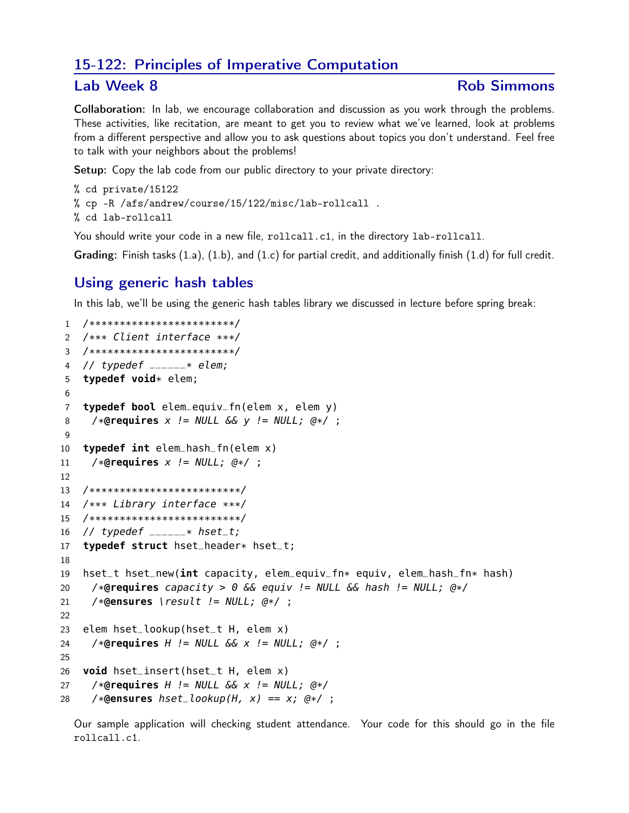## 15-122: Principles of Imperative Computation

## Lab Week 8

## **Rob Simmons**

Collaboration: In lab, we encourage collaboration and discussion as you work through the problems. These activities, like recitation, are meant to get you to review what we've learned, look at problems from a different perspective and allow you to ask questions about topics you don't understand. Feel free to talk with your neighbors about the problems!

Setup: Copy the lab code from our public directory to your private directory:

```
% cd private/15122
% cp -R /afs/andrew/course/15/122/misc/lab-rollcall .
% cd lab-rollcall
```
You should write your code in a new file, rollcall.c1, in the directory lab-rollcall.

Grading: Finish tasks  $(1.a)$ ,  $(1.b)$ , and  $(1.c)$  for partial credit, and additionally finish  $(1.d)$  for full credit.

## Using generic hash tables

In this lab, we'll be using the generic hash tables library we discussed in lecture before spring break:

```
1 /*************************/
2 /*** Client interface ***/
3 /*************************/
   // typedef _{---}-* elem;
4typedef void* elem;
5\phantom{.0}6
    typedef bool elem_equiv_fn(elem x, elem y)
\overline{7}/*@requires x != NULL && y != NULL; @*/ ;
8
\overline{9}typedef int elem_hash_fn(elem x)
10
     /*@requires x != NULL; @*/ ;
11
12
13
   /**************************/
   /*** Library interface ***/
14
15
   /**************************/
   // typedef \sqrt{2} hset_t;
16
   typedef struct hset_header* hset_t;
17
18
   hset_t hset_new(int capacity, elem_equiv_fn* equiv, elem_hash_fn* hash)
19
     /*@requires capacity > 0 && equiv != NULL && hash != NULL; @*/20
     /*@ensures \result != NULL; @*/;21
22
   elem hset_lookup(hset_t H, elem x)
23
     /*@requires H := NULL S\& X := NULL; @*/;24
25
   void hset_insert(hset_t H, elem x)
26
     /*@requires H := NULL S\& X := NULL; @*/
27
     /*@ensures hset_lookup(H, x) == x; @*/;
28
```
Our sample application will checking student attendance. Your code for this should go in the file rollcall.c1.